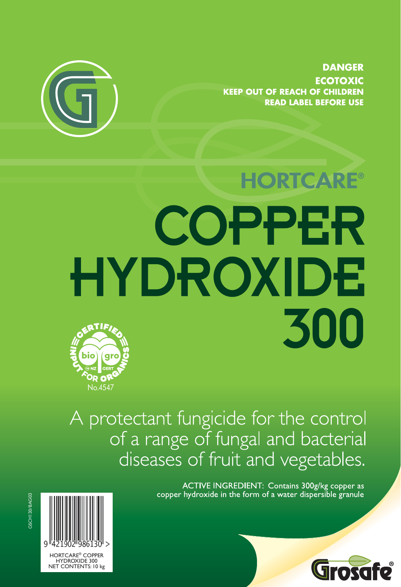

**DANGER ECOTOXIC KEEP OUT OF REACH OF CHILDREN READ LABEL BEFORE USE** 

# **HORTCARE®** COPPER HYDROXIDE 300 bio



A protectant fungicide for the control of a range of fungal and bacterial diseases of fruit and vegetables.

> ACTIVE INGREDIENT: Contains 300g/kg copper as copper hydroxide in the form of a water dispersible granule



GSCH130/BAG03

Grosafe